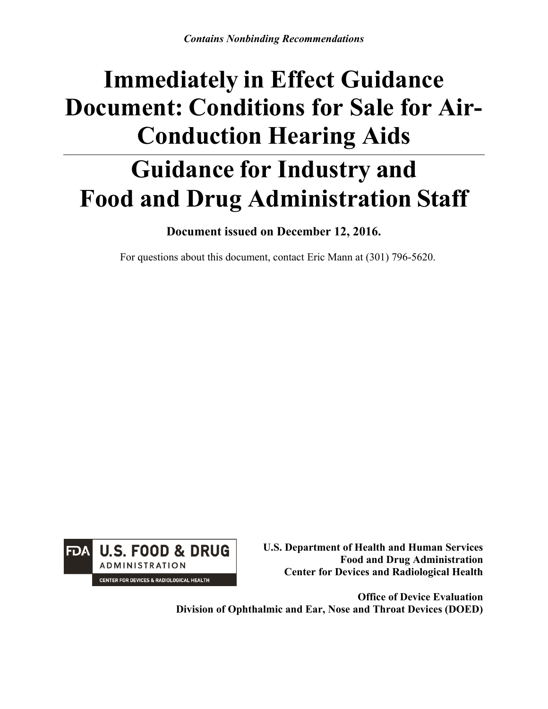# **Immediately in Effect Guidance Document: Conditions for Sale for Air-Conduction Hearing Aids**

## **Guidance for Industry and Food and Drug Administration Staff**

**Document issued on December 12, 2016.** 

For questions about this document, contact Eric Mann at (301) 796-5620.



**U.S. Department of Health and Human Services Food and Drug Administration Center for Devices and Radiological Health**

**Office of Device Evaluation Division of Ophthalmic and Ear, Nose and Throat Devices (DOED)**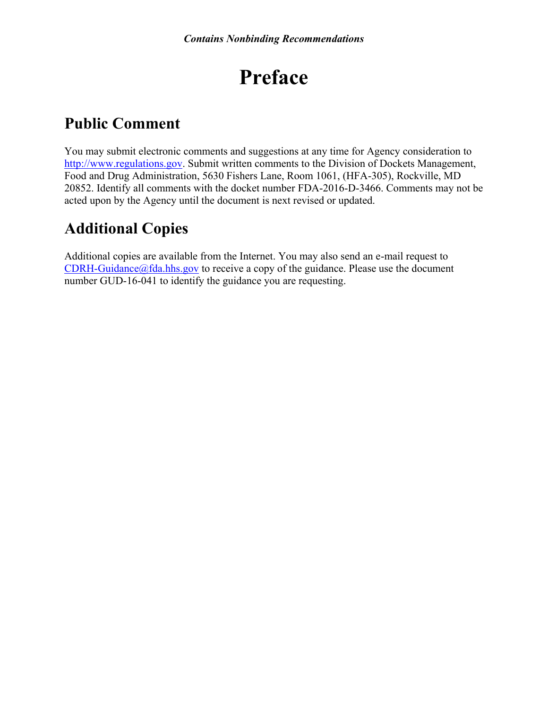## **Preface**

## **Public Comment**

You may submit electronic comments and suggestions at any time for Agency consideration to [http://www.regulations.gov.](http://www.regulations.gov/) Submit written comments to the Division of Dockets Management, Food and Drug Administration, 5630 Fishers Lane, Room 1061, (HFA-305), Rockville, MD 20852. Identify all comments with the docket number FDA-2016-D-3466. Comments may not be acted upon by the Agency until the document is next revised or updated.

## **Additional Copies**

Additional copies are available from the Internet. You may also send an e-mail request to  $CDRH-Guidance@fda.hhs.gov$  to receive a copy of the guidance. Please use the document number GUD-16-041 to identify the guidance you are requesting.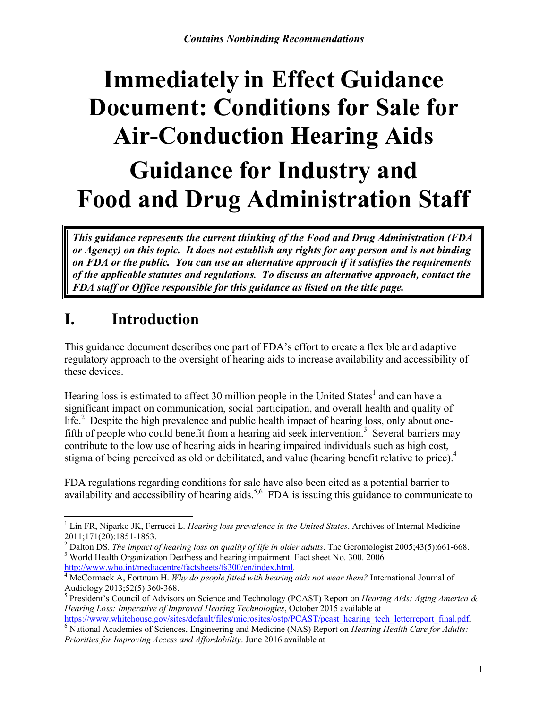# **Immediately in Effect Guidance Document: Conditions for Sale for Air-Conduction Hearing Aids**

## **Guidance for Industry and Food and Drug Administration Staff**

*This guidance represents the current thinking of the Food and Drug Administration (FDA or Agency) on this topic. It does not establish any rights for any person and is not binding on FDA or the public. You can use an alternative approach if it satisfies the requirements of the applicable statutes and regulations. To discuss an alternative approach, contact the FDA staff or Office responsible for this guidance as listed on the title page.* 

## **I. Introduction**

This guidance document describes one part of FDA's effort to create a flexible and adaptive regulatory approach to the oversight of hearing aids to increase availability and accessibility of these devices.

Hearing loss is estimated to affect 30 million people in the United States<sup>[1](#page-2-0)</sup> and can have a significant impact on communication, social participation, and overall health and quality of life.<sup>[2](#page-2-1)</sup> Despite the high prevalence and public health impact of hearing loss, only about one-fifth of people who could benefit from a hearing aid seek intervention.<sup>[3](#page-2-2)</sup> Several barriers may contribute to the low use of hearing aids in hearing impaired individuals such as high cost, stigma of being perceived as old or debilitated, and value (hearing benefit relative to price).<sup>[4](#page-2-3)</sup>

FDA regulations regarding conditions for sale have also been cited as a potential barrier to availability and accessibility of hearing aids.<sup>[5,6](#page-2-4)</sup>FDA is issuing this guidance to communicate to

<span id="page-2-1"></span><sup>2</sup> Dalton DS. *The impact of hearing loss on quality of life in older adults*. The Gerontologist 2005;43(5):661-668.

<span id="page-2-2"></span><sup>3</sup> World Health Organization Deafness and hearing impairment. Fact sheet No. 300. 2006 [http://www.who.int/mediacentre/factsheets/fs300/en/index.html.](http://www.who.int/mediacentre/factsheets/fs300/en/index.html)

<span id="page-2-0"></span> $\overline{\phantom{a}}$ <sup>1</sup> Lin FR, Niparko JK, Ferrucci L. *Hearing loss prevalence in the United States*. Archives of Internal Medicine 2011;171(20):1851-1853.

<span id="page-2-3"></span><sup>4</sup> McCormack A, Fortnum H. *Why do people fitted with hearing aids not wear them?* International Journal of Audiology 2013;52(5):360-368.

<span id="page-2-4"></span><sup>5</sup> President's Council of Advisors on Science and Technology (PCAST) Report on *Hearing Aids: Aging America & Hearing Loss: Imperative of Improved Hearing Technologies*, October 2015 available at [https://www.whitehouse.gov/sites/default/files/microsites/ostp/PCAST/pcast\\_hearing\\_tech\\_letterreport\\_final.pdf.](https://www.whitehouse.gov/sites/default/files/microsites/ostp/PCAST/pcast_hearing_tech_letterreport_final.pdf)

<span id="page-2-5"></span><sup>6</sup> National Academies of Sciences, Engineering and Medicine (NAS) Report on *Hearing Health Care for Adults: Priorities for Improving Access and Affordability*. June 2016 available at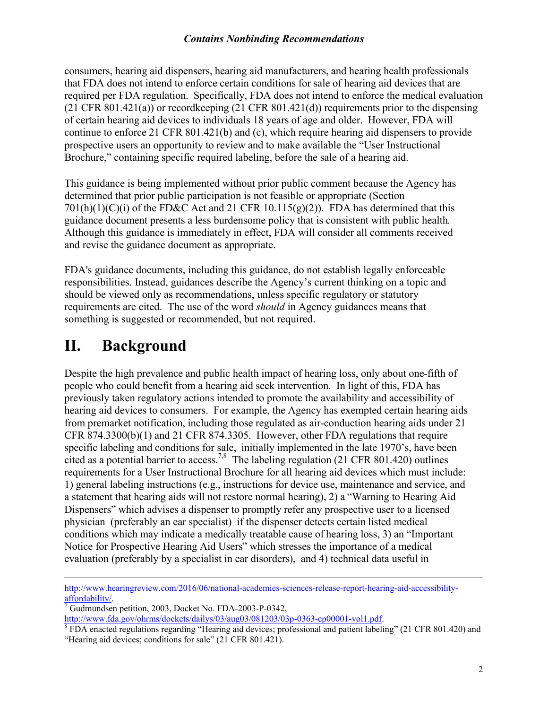consumers, hearing aid dispensers, hearing aid manufacturers, and hearing health professionals that FDA does not intend to enforce certain conditions for sale of hearing aid devices that are required per FDA regulation. Specifically, FDA does not intend to enforce the medical evaluation  $(21 \text{ CFR } 801.421(a))$  or recordkeeping  $(21 \text{ CFR } 801.421(d))$  requirements prior to the dispensing of certain hearing aid devices to individuals 18 years of age and older. However, FDA will continue to enforce 21 CFR 801.421(b) and (c), which require hearing aid dispensers to provide prospective users an opportunity to review and to make available the "User Instructional Brochure," containing specific required labeling, before the sale of a hearing aid.

This guidance is being implemented without prior public comment because the Agency has determined that prior public participation is not feasible or appropriate (Section  $701(h)(1)(C)(i)$  of the FD&C Act and 21 CFR 10.115(g)(2)). FDA has determined that this guidance document presents a less burdensome policy that is consistent with public health. Although this guidance is immediately in effect, FDA will consider all comments received and revise the guidance document as appropriate.

FDA's guidance documents, including this guidance, do not establish legally enforceable responsibilities. Instead, guidances describe the Agency's current thinking on a topic and should be viewed only as recommendations, unless specific regulatory or statutory requirements are cited. The use of the word *should* in Agency guidances means that something is suggested or recommended, but not required.

### **II. Background**

 $\overline{\phantom{a}}$ 

Despite the high prevalence and public health impact of hearing loss, only about one-fifth of people who could benefit from a hearing aid seek intervention. In light of this, FDA has previously taken regulatory actions intended to promote the availability and accessibility of hearing aid devices to consumers. For example, the Agency has exempted certain hearing aids from premarket notification, including those regulated as air-conduction hearing aids under 21 CFR 874.3300(b)(1) and 21 CFR 874.3305. However, other FDA regulations that require specific labeling and conditions for sale, initially implemented in the late 1970's, have been cited as a potential barrier to access.<sup>[7,](#page-3-0)[8](#page-3-1)</sup> The labeling regulation (21 CFR 801.420) outlines requirements for a User Instructional Brochure for all hearing aid devices which must include: 1) general labeling instructions (e.g., instructions for device use, maintenance and service, and a statement that hearing aids will not restore normal hearing), 2) a "Warning to Hearing Aid Dispensers" which advises a dispenser to promptly refer any prospective user to a licensed physician (preferably an ear specialist) if the dispenser detects certain listed medical conditions which may indicate a medically treatable cause of hearing loss, 3) an "Important Notice for Prospective Hearing Aid Users" which stresses the importance of a medical evaluation (preferably by a specialist in ear disorders), and 4) technical data useful in

[http://www.hearingreview.com/2016/06/national-academies-sciences-release-report-hearing-aid-accessibility](http://www.hearingreview.com/2016/06/national-academies-sciences-release-report-hearing-aid-accessibility-affordability/)[affordability/.](http://www.hearingreview.com/2016/06/national-academies-sciences-release-report-hearing-aid-accessibility-affordability/)

<span id="page-3-0"></span>Gudmundsen petition, 2003, Docket No. FDA-2003-P-0342,

[http://www.fda.gov/ohrms/dockets/dailys/03/aug03/081203/03p-0363-cp00001-vol1.pdf.](http://www.fda.gov/ohrms/dockets/dailys/03/aug03/081203/03p-0363-cp00001-vol1.pdf)

<span id="page-3-1"></span><sup>&</sup>lt;sup>8</sup> FDA enacted regulations regarding "Hearing aid devices; professional and patient labeling" (21 CFR 801.420) and "Hearing aid devices; conditions for sale" (21 CFR 801.421).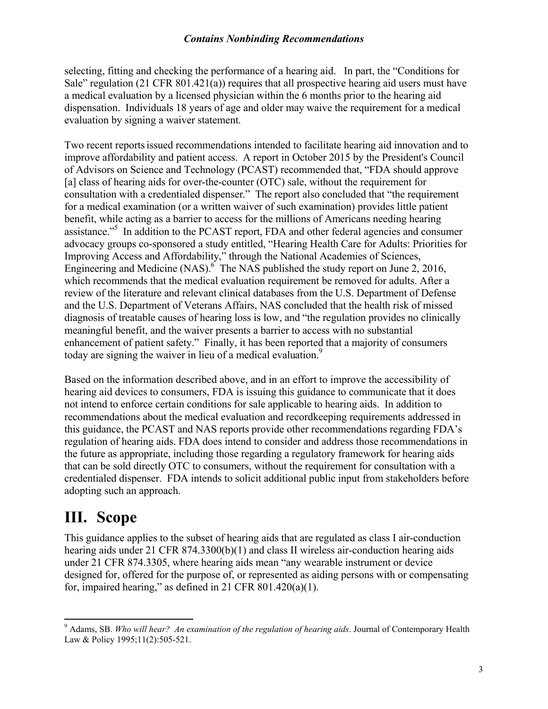selecting, fitting and checking the performance of a hearing aid. In part, the "Conditions for Sale" regulation (21 CFR 801.421(a)) requires that all prospective hearing aid users must have a medical evaluation by a licensed physician within the 6 months prior to the hearing aid dispensation. Individuals 18 years of age and older may waive the requirement for a medical evaluation by signing a waiver statement.

Two recent reportsissued recommendations intended to facilitate hearing aid innovation and to improve affordability and patient access. A report in October 2015 by the President's Council of Advisors on Science and Technology (PCAST) recommended that, "FDA should approve [a] class of hearing aids for over-the-counter (OTC) sale, without the requirement for consultation with a credentialed dispenser." The report also concluded that "the requirement for a medical examination (or a written waiver of such examination) provides little patient benefit, while acting as a barrier to access for the millions of Americans needing hearing assistance."<sup>5</sup> In addition to the PCAST report, FDA and other federal agencies and consumer advocacy groups co-sponsored a study entitled, "Hearing Health Care for Adults: Priorities for Improving Access and Affordability," through the National Academies of Sciences, Engineering and Medicine  $(NAS)$ <sup>6</sup> The NAS published the study report on June 2, 2016, which recommends that the medical evaluation requirement be removed for adults. After a review of the literature and relevant clinical databases from the U.S. Department of Defense and the U.S. Department of Veterans Affairs, NAS concluded that the health risk of missed diagnosis of treatable causes of hearing loss is low, and "the regulation provides no clinically meaningful benefit, and the waiver presents a barrier to access with no substantial enhancement of patient safety." Finally, it has been reported that a majority of consumers today are signing the waiver in lieu of a medical evaluation.<sup>[9](#page-4-0)</sup>

Based on the information described above, and in an effort to improve the accessibility of hearing aid devices to consumers, FDA is issuing this guidance to communicate that it does not intend to enforce certain conditions for sale applicable to hearing aids. In addition to recommendations about the medical evaluation and recordkeeping requirements addressed in this guidance, the PCAST and NAS reports provide other recommendations regarding FDA's regulation of hearing aids. FDA does intend to consider and address those recommendations in the future as appropriate, including those regarding a regulatory framework for hearing aids that can be sold directly OTC to consumers, without the requirement for consultation with a credentialed dispenser. FDA intends to solicit additional public input from stakeholders before adopting such an approach.

### **III. Scope**

 $\overline{a}$ 

This guidance applies to the subset of hearing aids that are regulated as class I air-conduction hearing aids under 21 CFR 874.3300(b)(1) and class II wireless air-conduction hearing aids under 21 CFR 874.3305, where hearing aids mean "any wearable instrument or device designed for, offered for the purpose of, or represented as aiding persons with or compensating for, impaired hearing," as defined in 21 CFR  $801.420(a)(1)$ .

<span id="page-4-0"></span><sup>9</sup> Adams, SB. *Who will hear? An examination of the regulation of hearing aids*. Journal of Contemporary Health Law & Policy 1995;11(2):505-521.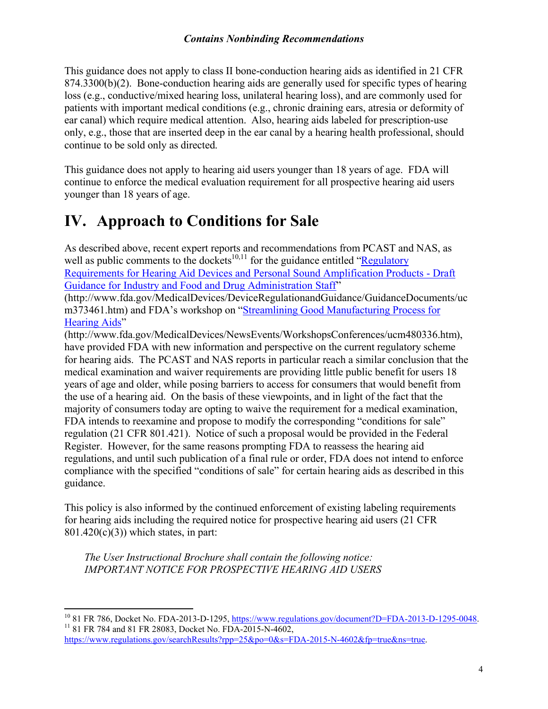This guidance does not apply to class II bone-conduction hearing aids as identified in 21 CFR 874.3300(b)(2). Bone-conduction hearing aids are generally used for specific types of hearing loss (e.g., conductive/mixed hearing loss, unilateral hearing loss), and are commonly used for patients with important medical conditions (e.g., chronic draining ears, atresia or deformity of ear canal) which require medical attention. Also, hearing aids labeled for prescription-use only, e.g., those that are inserted deep in the ear canal by a hearing health professional, should continue to be sold only as directed.

This guidance does not apply to hearing aid users younger than 18 years of age. FDA will continue to enforce the medical evaluation requirement for all prospective hearing aid users younger than 18 years of age.

### **IV. Approach to Conditions for Sale**

As described above, recent expert reports and recommendations from PCAST and NAS, as well as public comments to the dockets<sup>[10,](#page-5-0)[11](#page-5-1)</sup> for the guidance entitled "Regulatory" [Requirements for Hearing Aid Devices and Personal Sound Amplification Products -](http://www.fda.gov/MedicalDevices/DeviceRegulationandGuidance/GuidanceDocuments/ucm373461.htm) Draft [Guidance for Industry and Food and Drug Administration Staff"](http://www.fda.gov/MedicalDevices/DeviceRegulationandGuidance/GuidanceDocuments/ucm373461.htm) 

(http://www.fda.gov/MedicalDevices/DeviceRegulationandGuidance/GuidanceDocuments/uc m373461.htm) and FDA's workshop on "[Streamlining Good Manufacturing Process for](http://www.fda.gov/MedicalDevices/NewsEvents/WorkshopsConferences/ucm480336.htm)  [Hearing Aids"](http://www.fda.gov/MedicalDevices/NewsEvents/WorkshopsConferences/ucm480336.htm)

(http://www.fda.gov/MedicalDevices/NewsEvents/WorkshopsConferences/ucm480336.htm), have provided FDA with new information and perspective on the current regulatory scheme for hearing aids. The PCAST and NAS reports in particular reach a similar conclusion that the medical examination and waiver requirements are providing little public benefit for users 18 years of age and older, while posing barriers to access for consumers that would benefit from the use of a hearing aid. On the basis of these viewpoints, and in light of the fact that the majority of consumers today are opting to waive the requirement for a medical examination, FDA intends to reexamine and propose to modify the corresponding "conditions for sale" regulation (21 CFR 801.421). Notice of such a proposal would be provided in the Federal Register. However, for the same reasons prompting FDA to reassess the hearing aid regulations, and until such publication of a final rule or order, FDA does not intend to enforce compliance with the specified "conditions of sale" for certain hearing aids as described in this guidance.

This policy is also informed by the continued enforcement of existing labeling requirements for hearing aids including the required notice for prospective hearing aid users (21 CFR 801.420(c)(3)) which states, in part:

*The User Instructional Brochure shall contain the following notice: IMPORTANT NOTICE FOR PROSPECTIVE HEARING AID USERS*

 $\overline{\phantom{a}}$ 

<span id="page-5-1"></span><span id="page-5-0"></span><sup>&</sup>lt;sup>10</sup> 81 FR 786, Docket No. FDA-2013-D-1295, [https://www.regulations.gov/document?D=FDA-2013-D-1295-0048.](https://www.regulations.gov/document?D=FDA-2013-D-1295-0048) <sup>11</sup> 81 FR 784 and 81 FR 28083, Docket No. FDA-2015-N-4602,

<https://www.regulations.gov/searchResults?rpp=25&po=0&s=FDA-2015-N-4602&fp=true&ns=true>.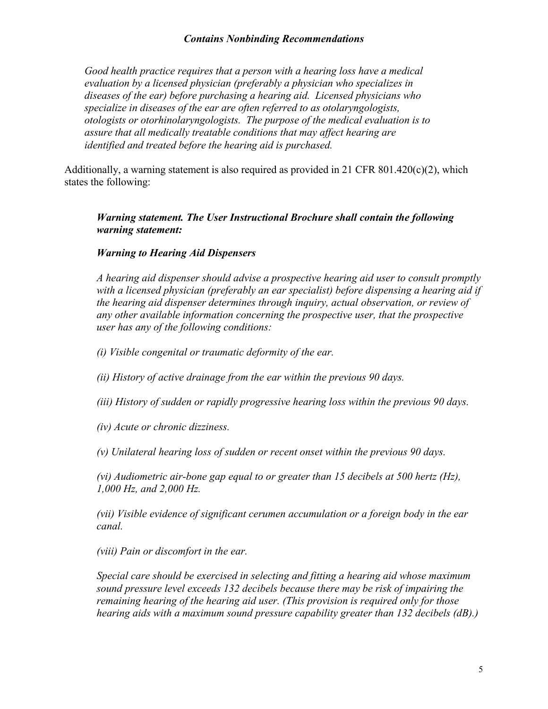*Good health practice requires that a person with a hearing loss have a medical evaluation by a licensed physician (preferably a physician who specializes in diseases of the ear) before purchasing a hearing aid. Licensed physicians who specialize in diseases of the ear are often referred to as otolaryngologists, otologists or otorhinolaryngologists. The purpose of the medical evaluation is to assure that all medically treatable conditions that may affect hearing are identified and treated before the hearing aid is purchased.*

Additionally, a warning statement is also required as provided in 21 CFR  $801.420(c)(2)$ , which states the following:

#### *Warning statement. The User Instructional Brochure shall contain the following warning statement:*

#### *Warning to Hearing Aid Dispensers*

*A hearing aid dispenser should advise a prospective hearing aid user to consult promptly with a licensed physician (preferably an ear specialist) before dispensing a hearing aid if the hearing aid dispenser determines through inquiry, actual observation, or review of any other available information concerning the prospective user, that the prospective user has any of the following conditions:* 

- *(i) Visible congenital or traumatic deformity of the ear.*
- *(ii) History of active drainage from the ear within the previous 90 days.*
- *(iii) History of sudden or rapidly progressive hearing loss within the previous 90 days.*
- *(iv) Acute or chronic dizziness.*
- *(v) Unilateral hearing loss of sudden or recent onset within the previous 90 days.*

*(vi) Audiometric air-bone gap equal to or greater than 15 decibels at 500 hertz (Hz), 1,000 Hz, and 2,000 Hz.* 

*(vii) Visible evidence of significant cerumen accumulation or a foreign body in the ear canal.* 

*(viii) Pain or discomfort in the ear.* 

*Special care should be exercised in selecting and fitting a hearing aid whose maximum sound pressure level exceeds 132 decibels because there may be risk of impairing the remaining hearing of the hearing aid user. (This provision is required only for those hearing aids with a maximum sound pressure capability greater than 132 decibels (dB).)*